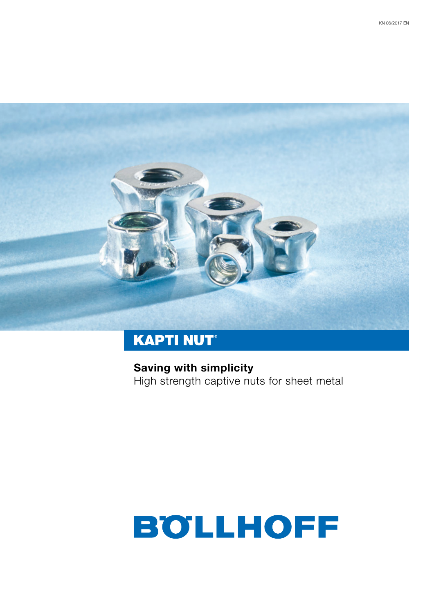

## **KAPTI NUT®**

**Saving with simplicity** High strength captive nuts for sheet metal

# **BOLLHOFF**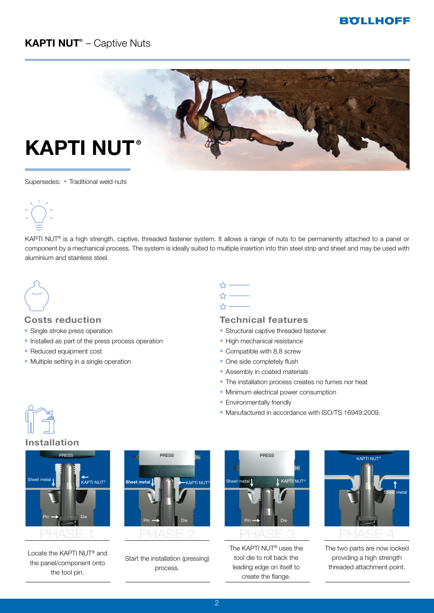#### **BOLLHOFF**

### **KAPTI NUT®** – Captive Nuts



Supersedes: • Traditional weld nuts



KAPTI NUT® is a high strength, captive, threaded fastener system. It allows a range of nuts to be permanently attached to a panel or component by a mechanical process. The system is ideally suited to multiple insertion into thin steel strip and sheet and may be used with aluminium and stainless steel.



#### **Costs reduction**

- Single stroke press operation
- Installed as part of the press process operation
- Reduced equipment cost
- Multiple setting in a single operation

#### **Technical features**

- Structural captive threaded fastener
- High mechanical resistance
- Compatible with 8.8 screw
- One side completely flush
- Assembly in coated materials
- The installation process creates no fumes nor heat
- Minimum electrical power consumption
- Environmentally friendly
- Manufactured in accordance with ISO/TS 16949:2009.

#### **Installation**



Locate the KAPTI NUT® and the panel/component onto the tool pin.



Start the installation (pressing) process.



The KAPTI NUT® uses the tool die to roll back the leading edge on itself to create the flange.



The two parts are now locked providing a high strength threaded attachment point.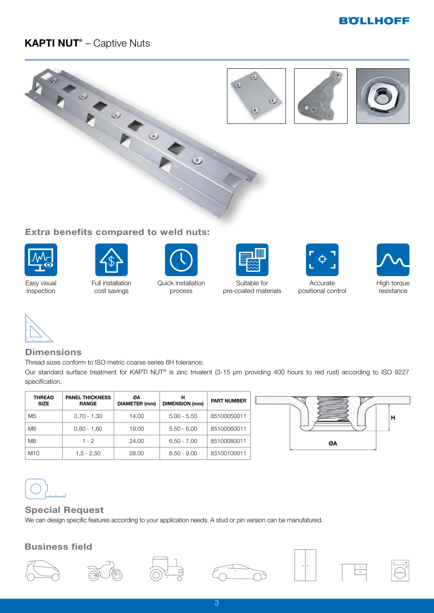#### **BOLLHOFF**

#### **KAPTI NUT®** – Captive Nuts



#### **Extra benefits compared to weld nuts:**



Easy visual inspection



Full installation cost savings



Quick installation process



Suitable for pre-coated materials



Accurate positional control





#### **Dimensions**

Thread sizes conform to ISO metric coarse series 6H tolerance:

Our standard surface treatment for KAPTI NUT® is zinc trivalent (3-15 μm providing 400 hours to red rust) according to ISO 9227 specification.

| <b>THREAD</b><br><b>SIZE</b> | <b>PANEL THICKNESS</b><br><b>RANGE</b> | ØΑ<br><b>DIAMETER (mm)</b> | н<br><b>DIMENSION</b> (mm) | <b>PART NUMBER</b> |
|------------------------------|----------------------------------------|----------------------------|----------------------------|--------------------|
| M <sub>5</sub>               | $0,70 - 1,30$                          | 14.00                      | $5.00 - 5.50$              | 85100050011        |
| M <sub>6</sub>               | $0,80 - 1,60$                          | 19.00                      | $5.50 - 6.00$              | 85100060011        |
| M <sub>8</sub>               | 1 - 2                                  | 24.00                      | $6.50 - 7.00$              | 85100080011        |
| M <sub>10</sub>              | $1,5 - 2,50$                           | 28.00                      | $8.50 - 9.00$              | 85100100011        |



# أتلبينه

#### **Special Request**

We can design specific features according to your application needs. A stud or pin version can be manufatured.

#### **Business field**